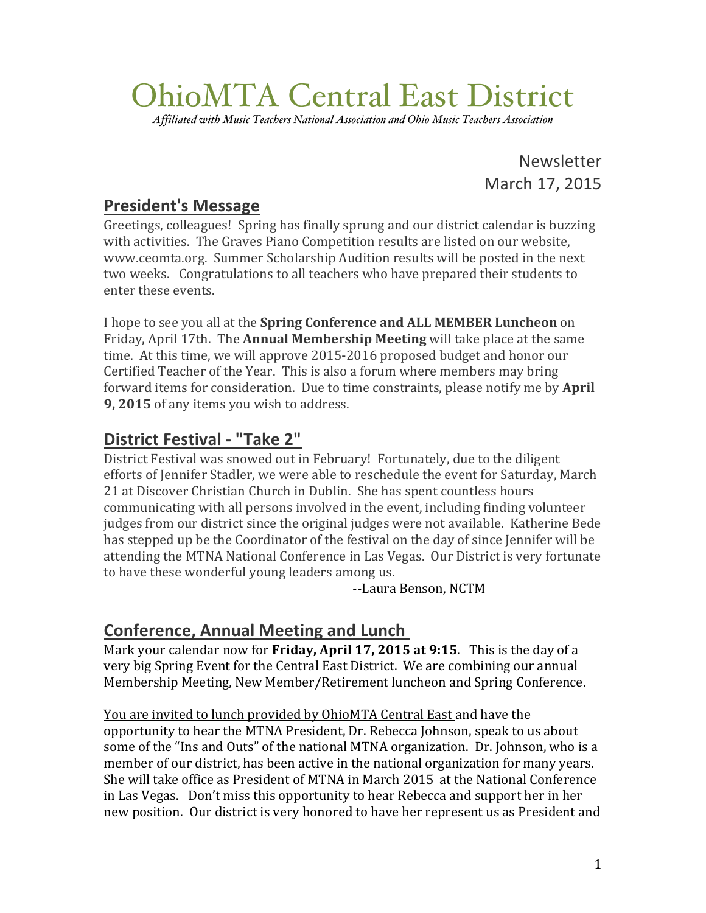# OhioMTA Central East District

*Affiliated with Music Teachers National Association and Ohio Music Teachers Association*

Newsletter March 17, 2015

### **President's!Message**

Greetings, colleagues! Spring has finally sprung and our district calendar is buzzing with activities. The Graves Piano Competition results are listed on our website, www.ceomta.org. Summer Scholarship Audition results will be posted in the next two weeks. Congratulations to all teachers who have prepared their students to enter these events.

I hope to see you all at the **Spring Conference and ALL MEMBER Luncheon** on Friday, April 17th. The **Annual Membership Meeting** will take place at the same time. At this time, we will approve 2015-2016 proposed budget and honor our Certified Teacher of the Year. This is also a forum where members may bring forward items for consideration. Due to time constraints, please notify me by **April 9, 2015** of any items you wish to address.

## **District Festival - "Take 2"**

District Festival was snowed out in February! Fortunately, due to the diligent efforts of Jennifer Stadler, we were able to reschedule the event for Saturday, March 21 at Discover Christian Church in Dublin. She has spent countless hours communicating with all persons involved in the event, including finding volunteer judges from our district since the original judges were not available. Katherine Bede has stepped up be the Coordinator of the festival on the day of since Jennifer will be attending the MTNA National Conference in Las Vegas. Our District is very fortunate to have these wonderful young leaders among us.

--Laura Benson, NCTM

### **Conference, Annual Meeting and Lunch**

Mark your calendar now for **Friday, April 17, 2015 at 9:15**. This is the day of a very big Spring Event for the Central East District. We are combining our annual Membership Meeting, New Member/Retirement luncheon and Spring Conference.

You are invited to lunch provided by OhioMTA Central East and have the opportunity to hear the MTNA President, Dr. Rebecca Johnson, speak to us about some of the "Ins and Outs" of the national MTNA organization. Dr. Johnson, who is a member of our district, has been active in the national organization for many years. She will take office as President of MTNA in March 2015 at the National Conference in Las Vegas. Don't miss this opportunity to hear Rebecca and support her in her new position. Our district is very honored to have her represent us as President and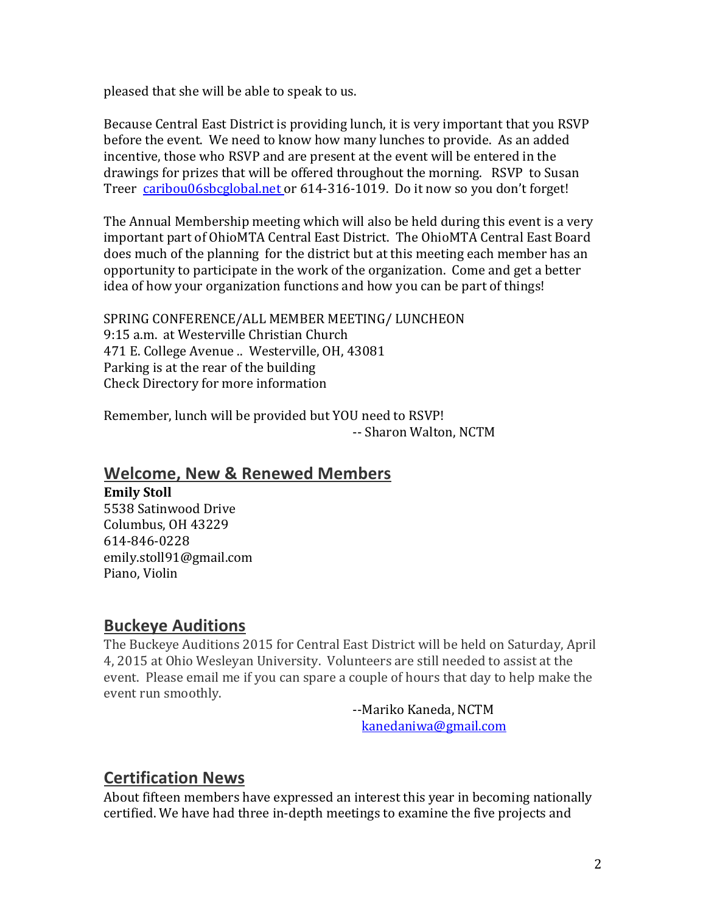pleased that she will be able to speak to us.

Because Central East District is providing lunch, it is very important that you RSVP before the event. We need to know how many lunches to provide. As an added incentive, those who RSVP and are present at the event will be entered in the drawings for prizes that will be offered throughout the morning. RSVP to Susan Treer caribou06sbcglobal.net or 614-316-1019. Do it now so you don't forget!

The Annual Membership meeting which will also be held during this event is a very important part of OhioMTA Central East District. The OhioMTA Central East Board does much of the planning for the district but at this meeting each member has an opportunity to participate in the work of the organization. Come and get a better idea of how your organization functions and how you can be part of things!

SPRING CONFERENCE/ALL MEMBER MEETING/ LUNCHEON 9:15 a.m. at Westerville Christian Church 471 E. College Avenue .. Westerville, OH, 43081 Parking is at the rear of the building Check Directory for more information

Remember, lunch will be provided but YOU need to RSVP! -- Sharon Walton, NCTM

#### **Welcome, New & Renewed Members**

#### **Emily Stoll**

5538 Satinwood Drive Columbus,!OH!43229 614-846-0228 emily.stoll91@gmail.com Piano, Violin

#### **Buckeye Auditions**

The Buckeye Auditions 2015 for Central East District will be held on Saturday, April 4, 2015 at Ohio Wesleyan University. Volunteers are still needed to assist at the event. Please email me if you can spare a couple of hours that day to help make the event run smoothly.

--Mariko Kaneda, NCTM kanedaniwa@gmail.com

#### **Certification!News**

About fifteen members have expressed an interest this year in becoming nationally certified. We have had three in-depth meetings to examine the five projects and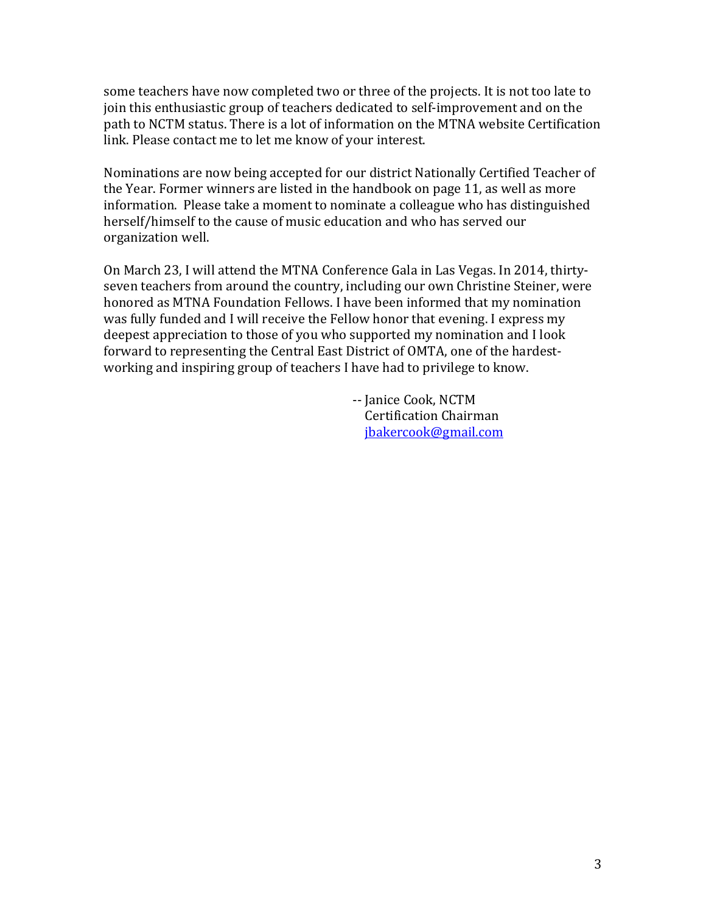some teachers have now completed two or three of the projects. It is not too late to join this enthusiastic group of teachers dedicated to self-improvement and on the path to NCTM status. There is a lot of information on the MTNA website Certification link. Please contact me to let me know of your interest.

Nominations are now being accepted for our district Nationally Certified Teacher of the Year. Former winners are listed in the handbook on page 11, as well as more information. Please take a moment to nominate a colleague who has distinguished herself/himself to the cause of music education and who has served our organization well.

On March 23, I will attend the MTNA Conference Gala in Las Vegas. In 2014, thirtyseven teachers from around the country, including our own Christine Steiner, were honored as MTNA Foundation Fellows. I have been informed that my nomination was fully funded and I will receive the Fellow honor that evening. I express my deepest appreciation to those of you who supported my nomination and I look forward to representing the Central East District of OMTA, one of the hardestworking and inspiring group of teachers I have had to privilege to know.

> -- Janice Cook, NCTM **Certification Chairman** !!!!jbakercook@gmail.com